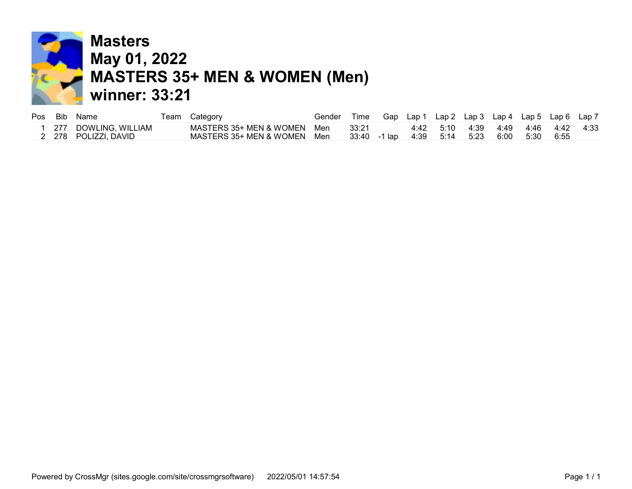

|  | Pos Bib Name         | Team Category               | Gender |         |  |                                                  |  | Time Gap Lap1 Lap2 Lap3 Lap4 Lap5 Lap6 Lap7 |  |
|--|----------------------|-----------------------------|--------|---------|--|--------------------------------------------------|--|---------------------------------------------|--|
|  | 277 DOWLING, WILLIAM | MASTERS 35+ MEN & WOMEN Men |        | - 33:21 |  |                                                  |  | 4:42 5:10 4:39 4:49 4:46 4:42 4:33          |  |
|  | 2 278 POLIZZI, DAVID | MASTERS 35+ MEN & WOMEN Men |        |         |  | 33:40 -1 lap  4:39  5:14  5:23  6:00  5:30  6:55 |  |                                             |  |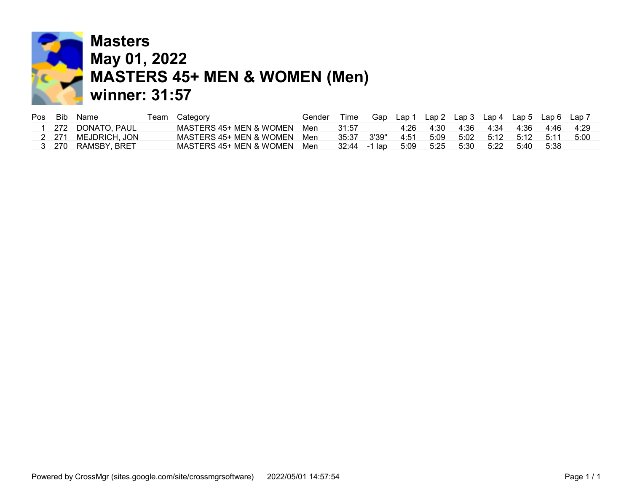

## **Masters** May 01, 2022 MASTERS 45+ MEN & WOMEN (Men) winner: 31:57

| Pos Bib | Name               | Team Category               | Gender | Time          |      | Gap Lap 1 Lap 2 Lap 3 Lap 4 Lap 5 Lap 6 Lap 7 |      |      |                     |        |       |
|---------|--------------------|-----------------------------|--------|---------------|------|-----------------------------------------------|------|------|---------------------|--------|-------|
|         | 272 DONATO, PAUL   | MASTERS 45+ MEN & WOMEN Men |        | 31:57         | 4:26 | 4:30                                          | 4:36 | 4:34 | - 4:36              | 4.46   | 4.29  |
| 2 271   | MEJDRICH, JON      | MASTERS 45+ MEN & WOMEN Men |        | 35:37 3'39"   | 4:51 | 5:09                                          |      |      | 5:02 5:12 5:12 5:11 |        | -5:00 |
|         | 3 270 RAMSBY, BRET | MASTERS 45+ MEN & WOMEN Men |        | 32:44 - 1 lap | 5:09 | 5:25                                          | 5:30 | 5:22 | 5:40                | - 5:38 |       |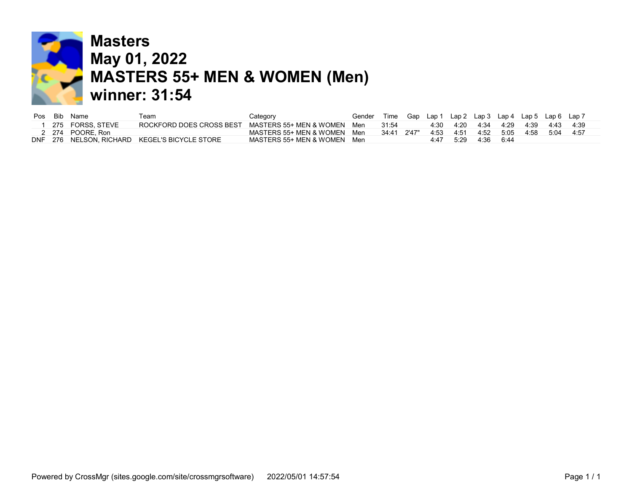

### **Masters** May 01, 2022 **MASTERS 55+ MEN & WOMEN (Men)** winner: 31:54

|  | Pos Bib Name     | eam?                                          | Category                    | Gender |                 | Time Gap Lap 1 Lap 2 Lap 3 Lap 4 Lap 5 Lap 6 Lap 7 |               |      |                          |      |      |           |
|--|------------------|-----------------------------------------------|-----------------------------|--------|-----------------|----------------------------------------------------|---------------|------|--------------------------|------|------|-----------|
|  | 275 FORSS, STEVE | ROCKFORD DOES CROSS BEST                      | MASTERS 55+ MEN & WOMEN Men |        | 31:54           |                                                    |               |      | 4:30 4:20 4:34 4:29 4:39 |      |      | 4:43 4:39 |
|  | 2 274 POORE. Ron |                                               | MASTERS 55+ MEN & WOMEN Men |        | $34.41$ $2'47"$ |                                                    | $4.53$ $4.51$ |      | 4:52 5:05                | 4:58 | 5:04 | - 4:57    |
|  |                  | DNF 276 NELSON. RICHARD KEGEL'S BICYCLE STORE | MASTERS 55+ MEN & WOMEN Men |        |                 | 4:47                                               | 5:29          | 4:36 | 6:44                     |      |      |           |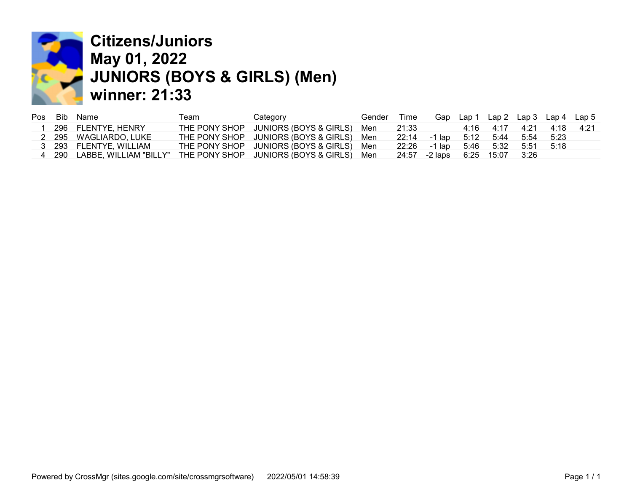

## Citizens/Juniors May 01, 2022 JUNIORS (BOYS & GIRLS) (Men) winner: 21:33

|  | Pos Bib Name           | Team | Category                                                              | Gender | Time                             |  |                          |  | Gap Lap 1 Lap 2 Lap 3 Lap 4 Lap 5 |
|--|------------------------|------|-----------------------------------------------------------------------|--------|----------------------------------|--|--------------------------|--|-----------------------------------|
|  | 296 FLENTYE, HENRY     |      | THE PONY SHOP JUNIORS (BOYS & GIRLS) Men 21:33                        |        |                                  |  | 4:16 4:17 4:21 4:18 4:21 |  |                                   |
|  | 2 295 WAGLIARDO, LUKE  |      | THE PONY SHOP JUNIORS (BOYS & GIRLS) Men                              |        | 22:14 -1 lap 5:12 5:44 5:54 5:23 |  |                          |  |                                   |
|  | 3 293 FLENTYE, WILLIAM |      | THE PONY SHOP JUNIORS (BOYS & GIRLS) Men                              |        | 22:26 -1 lap 5:46 5:32 5:51 5:18 |  |                          |  |                                   |
|  |                        |      | 4 290 LABBE, WILLIAM "BILLY" THE PONY SHOP JUNIORS (BOYS & GIRLS) Men |        | 24:57 -2 laps 6:25 15:07 3:26    |  |                          |  |                                   |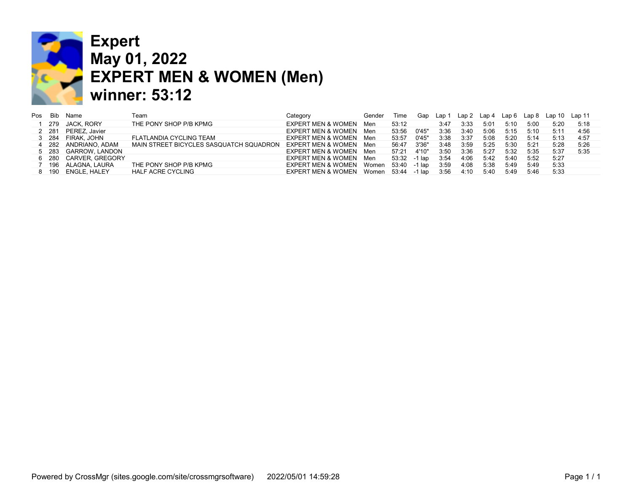

## Expert May 01, 2022 EXPERT MEN & WOMEN (Men) winner: 53:12

| Pos | Bib   | Name                 | Team                                    | Category                      | Gender | Time          | Gap    | Lap 1 | Lap 2 | Lap 4 | Lap 6 | Lap 8 | Lap 10 | Lap 11 |
|-----|-------|----------------------|-----------------------------------------|-------------------------------|--------|---------------|--------|-------|-------|-------|-------|-------|--------|--------|
|     | 279   | JACK, RORY           | THE PONY SHOP P/B KPMG                  | EXPERT MEN & WOMEN            | Men    | 53:12         |        | 3:47  | 3:33  | 5:01  | 5:10  | 5:00  | 5:20   | 5:18   |
|     | 2 281 | PEREZ. Javier        |                                         | EXPERT MEN & WOMEN            | Men    | 53:56         | 0'45"  | 3:36  | 3:40  | 5:06  | 5:15  | 5:10  | 5:11   | 4:56   |
|     | 3 284 | FIRAK. JOHN          | FLATLANDIA CYCLING TEAM                 | <b>EXPERT MEN &amp; WOMEN</b> | Men    | 53:57         | 0'45"  | 3:38  | 3:37  | 5:08  | 5:20  | 5:14  | 5:13   | 4:57   |
|     |       | 4 282 ANDRIANO, ADAM | MAIN STREET BICYCLES SASQUATCH SQUADRON | EXPERT MEN & WOMEN            | Men    | 56:47         | 3'36"  | 3:48  | 3:59  | 5:25  | 5:30  | 5:21  | 5:28   | 5:26   |
|     |       | 5 283 GARROW, LANDON |                                         | EXPERT MEN & WOMEN            | Men    | 57:21         | 4'10"  | 3:50  | 3:36  | 5:27  | 5:32  | 5:35  | 5:37   | 5:35   |
|     |       | 6 280 CARVER GREGORY |                                         | EXPERT MEN & WOMEN            | Men    | 53:32 - 1 lap |        | 3:54  | 4:06  | 5:42  | 5:40  | 5:52  | 5:27   |        |
|     |       | 196 ALAGNA, LAURA    | THE PONY SHOP P/B KPMG                  | <b>EXPERT MEN &amp; WOMEN</b> | Women  | 53:40         | -1 lap | 3:59  | 4:08  | 5:38  | 5:49  | 5:49  | 5:33   |        |
|     |       | 8 190 ENGLE. HALEY   | HALF ACRE CYCLING                       | EXPERT MEN & WOMEN            | Women  | 53:44         | -1 lap | 3:56  | 4:10  | 5:40  | 5:49  | 5:46  | 5:33   |        |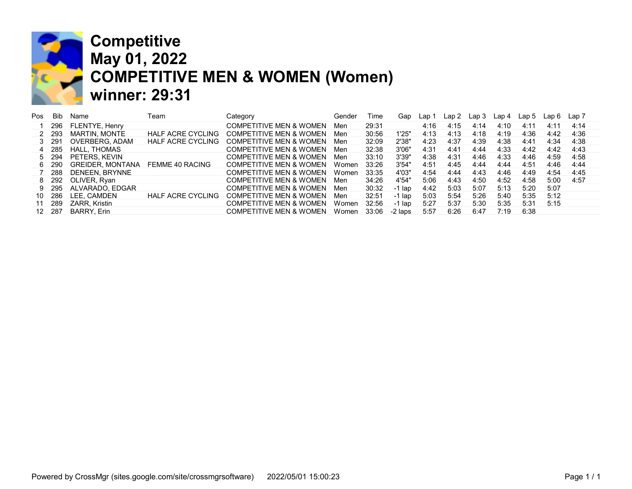

### Competitive May 01, 2022 COMPETITIVE MEN & WOMEN (Women) winner: 29:31

| Pos | <b>Bib</b> | Name                  | ⊺eam                     | Category                           | Gender | Γime  | Gap      | Lap  | Lap 2 | Lap 3 | Lap 4 | Lap <sub>5</sub> | Lap 6 | Lap 7 |
|-----|------------|-----------------------|--------------------------|------------------------------------|--------|-------|----------|------|-------|-------|-------|------------------|-------|-------|
|     | 296        | <b>FLENTYE, Henry</b> |                          | <b>COMPETITIVE MEN &amp; WOMEN</b> | Men    | 29:31 |          | 4:16 | 4:15  | 4:14  | 4:10  | 4:11             | 4:11  | 4:14  |
| 2   | 293        | MARTIN. MONTE         | HALF ACRE CYCLING        | <b>COMPETITIVE MEN &amp; WOMEN</b> | Men    | 30:56 | 1'25"    | 4:13 | 4:13  | 4:18  | 4:19  | 4:36             | 4:42  | 4:36  |
|     | 291        | OVERBERG, ADAM        | <b>HALF ACRE CYCLING</b> | <b>COMPETITIVE MEN &amp; WOMEN</b> | Men    | 32:09 | 2'38"    | 4:23 | 4:37  | 4:39  | 4:38  | 4:41             | 4:34  | 4:38  |
| 4   | 285        | HALL. THOMAS          |                          | <b>COMPETITIVE MEN &amp; WOMEN</b> | Men    | 32:38 | 3'06"    | 4:31 | 4:41  | 4:44  | 4:33  | 4:42             | 4:42  | 4:43  |
| 5   | 294        | PETERS, KEVIN         |                          | <b>COMPETITIVE MEN &amp; WOMEN</b> | Men    | 33:10 | 3'39"    | 4:38 | 4:31  | 4:46  | 4:33  | 4:46             | 4:59  | 4:58  |
| 6.  | 290        | GREIDER. MONTANA      | FEMME 40 RACING          | <b>COMPETITIVE MEN &amp; WOMEN</b> | Women  | 33:26 | 3'54"    | 4:51 | 4:45  | 4:44  | 4:44  | 4:51             | 4:46  | 4:44  |
|     | 288        | DENEEN, BRYNNE        |                          | <b>COMPETITIVE MEN &amp; WOMEN</b> | Women  | 33:35 | 4'03"    | 4:54 | 4:44  | 4:43  | 4:46  | 4:49             | 4:54  | 4:45  |
| 8.  |            | 292 OLIVER, Ryan      |                          | <b>COMPETITIVE MEN &amp; WOMEN</b> | Men    | 34:26 | 4'54"    | 5:06 | 4:43  | 4:50  | 4:52  | 4:58             | 5:00  | 4:57  |
| 9   | 295        | ALVARADO, EDGAR       |                          | <b>COMPETITIVE MEN &amp; WOMEN</b> | Men    | 30:32 | -1 Iap   | 4:42 | 5:03  | 5:07  | 5:13  | 5:20             | 5:07  |       |
| 10  | 286        | LEE, CAMDEN           | <b>HALF ACRE CYCLING</b> | <b>COMPETITIVE MEN &amp; WOMEN</b> | Men    | 32:51 | $-1$ lap | 5:03 | 5:54  | 5:26  | 5:40  | 5:35             | 5:12  |       |
|     | 289        | ZARR. Kristin         |                          | <b>COMPETITIVE MEN &amp; WOMEN</b> | Women  | 32:56 | -1 lap   | 5:27 | 5:37  | 5:30  | 5:35  | 5:31             | 5:15  |       |
| 12  | 287        | <b>BARRY, Erin</b>    |                          | <b>COMPETITIVE MEN &amp; WOMEN</b> | Women  | 33:06 | -2 laps  | 5:57 | 6:26  | 6:47  | 7:19  | 6:38             |       |       |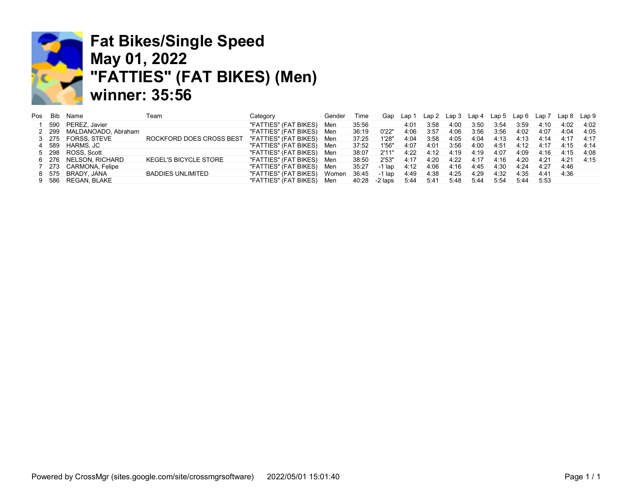

# Fat Bikes/Single Speed May 01, 2022 "FATTIES" (FAT BIKES) (Men) winner: 35:56

| Pos | Bib | Name                      | Геаm                         | Category              | Gender | Time  | Gap     | Lap 1 | Lap 2 | Lap 3 | ∟ap 4 | Lap 5 | Lap 6 | Lap 7 | Lap 8 | Lap 9 |
|-----|-----|---------------------------|------------------------------|-----------------------|--------|-------|---------|-------|-------|-------|-------|-------|-------|-------|-------|-------|
|     | 590 | PEREZ. Javier             |                              | "FATTIES" (FAT BIKES) | Men    | 35:56 |         | 4:01  | 3:58  | 4:00  | 3:50  | 3:54  | 3:59  | 4:10  | 4:02  | 4:02  |
|     |     | 2 299 MALDANOADO, Abraham |                              | "FATTIES" (FAT BIKES) | Men    | 36:19 | 0'22'   | 4:06  | 3:57  | 4:06  | 3:56  | 3:56  | 4:02  | 4:07  | 4:04  | 4:05  |
|     |     | 3 275 FORSS STEVE         | ROCKFORD DOES CROSS BEST     | "FATTIES" (FAT BIKES) | Men    | 37:25 | 1'28'   | 4:04  | 3:58  | 4:05  | 4:04  | 4:13  | 4:13  | 4:14  | 4:17  | 4.17  |
|     |     | 4 589 HARMS.JC            |                              | "FATTIES" (FAT BIKES) | Men    | 37:52 | 1'56'   | 4:07  | 4:01  | 3:56  | 4:00  | 4:51  | 4:12  | 4:17  | 4:15  | 4.14  |
|     |     | 5 298 ROSS, Scott         |                              | "FATTIES" (FAT BIKES) | Men    | 38:07 | 2'11'   | 4:22  | 4:12  | 4:19  | 4:19  | 4:07  | 4:09  | 4:16  | 4:15  | 4:08  |
|     |     | 6 276 NELSON, RICHARD     | <b>KEGEL'S BICYCLE STORE</b> | "FATTIES" (FAT BIKES) | Men    | 38:50 | 2'53"   | 4:17  | 4:20  | 4:22  | 4:17  | 4:16  | 4:20  | 4:21  | 4.21  | 4.15  |
|     |     | 7 273 CARMONA, Felipe     |                              | "FATTIES" (FAT BIKES) | Men    | 35:27 | -1 lap  | 4:12  | 4:06  | 4:16  | 4:45  | 4:30  | 4:24  | 4:27  | 4:46  |       |
|     |     | 8 575 BRADY JANA          | <b>BADDIES UNLIMITED</b>     | "FATTIES" (FAT BIKES) | Women  | 36:45 | -1 lap  | 4:49  | 4:38  | 4:25  | 4:29  | 4:32  | 4:35  | 4:41  | 4:36  |       |
|     |     | 9 586 REGAN BLAKE         |                              | "FATTIES" (FAT BIKES) | Men    | 40:28 | -2 laps | 5:44  | 5:41  | 5:48  | 5:44  | 5:54  | 5:44  | 5:53  |       |       |